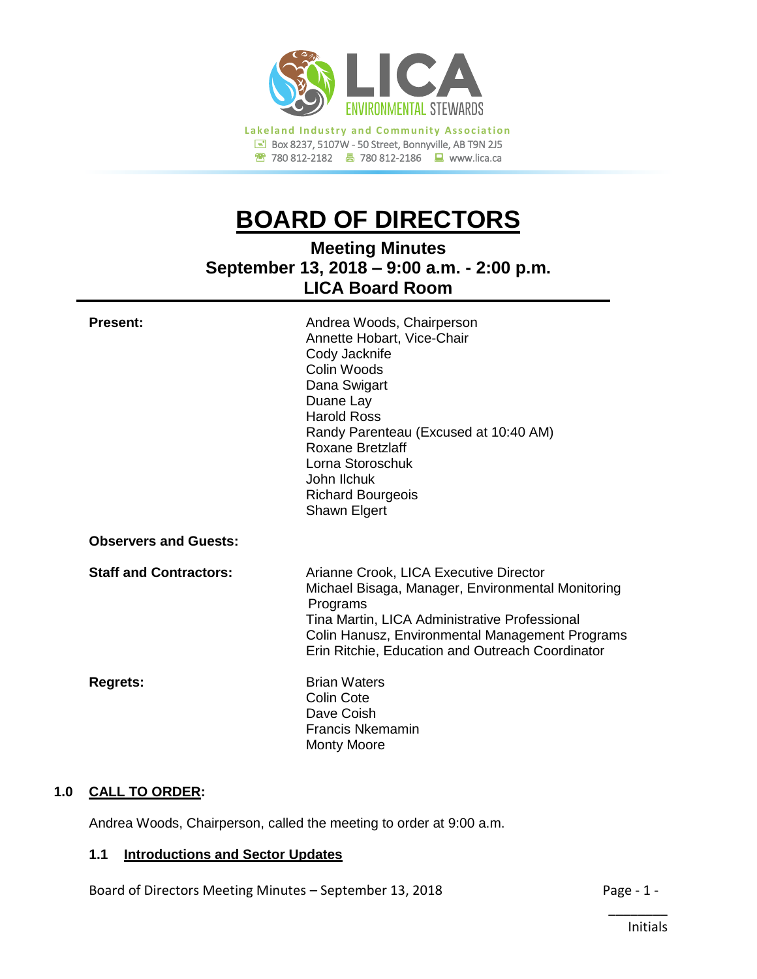

780 812-2182780 812-2186www.lica.ca

# **BOARD OF DIRECTORS**

**Meeting Minutes September 13, 2018 – 9:00 a.m. - 2:00 p.m. LICA Board Room**

| <b>Present:</b>               | Andrea Woods, Chairperson<br>Annette Hobart, Vice-Chair<br>Cody Jacknife<br>Colin Woods<br>Dana Swigart<br>Duane Lay<br><b>Harold Ross</b><br>Randy Parenteau (Excused at 10:40 AM)<br>Roxane Bretzlaff<br>Lorna Storoschuk<br>John Ilchuk<br><b>Richard Bourgeois</b><br>Shawn Elgert |
|-------------------------------|----------------------------------------------------------------------------------------------------------------------------------------------------------------------------------------------------------------------------------------------------------------------------------------|
| <b>Observers and Guests:</b>  |                                                                                                                                                                                                                                                                                        |
| <b>Staff and Contractors:</b> | Arianne Crook, LICA Executive Director<br>Michael Bisaga, Manager, Environmental Monitoring<br>Programs<br>Tina Martin, LICA Administrative Professional<br>Colin Hanusz, Environmental Management Programs<br>Erin Ritchie, Education and Outreach Coordinator                        |
| <b>Regrets:</b>               | <b>Brian Waters</b><br>Colin Cote<br>Dave Coish<br>Francis Nkemamin<br><b>Monty Moore</b>                                                                                                                                                                                              |

# **1.0 CALL TO ORDER:**

Andrea Woods, Chairperson, called the meeting to order at 9:00 a.m.

## **1.1 Introductions and Sector Updates**

Board of Directors Meeting Minutes – September 13, 2018 Page - 1 -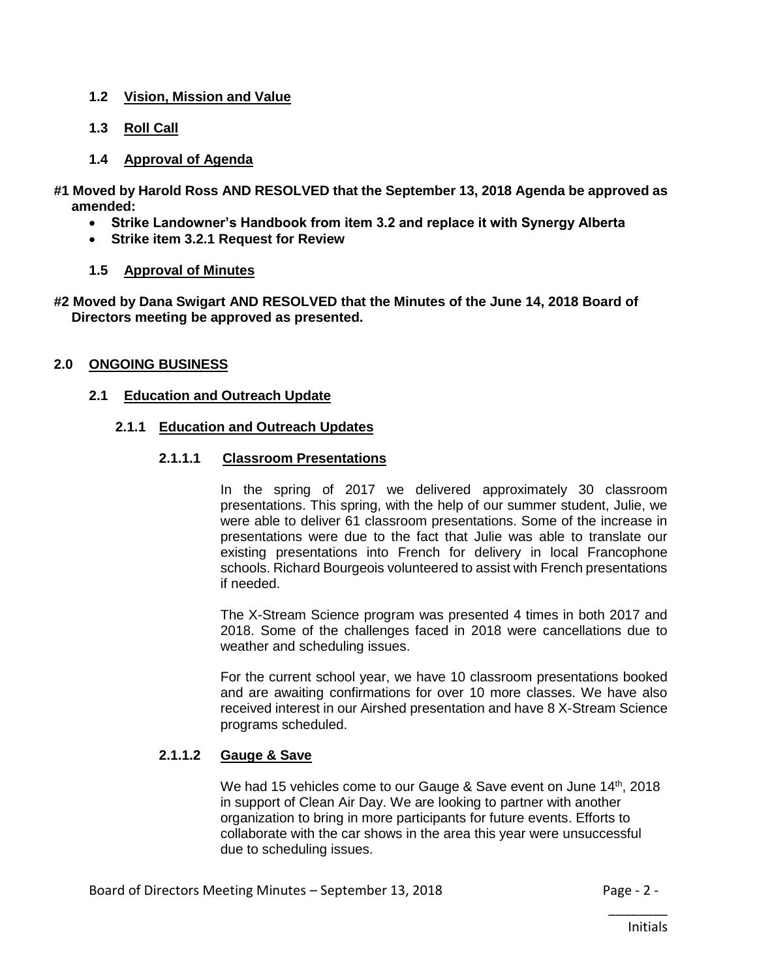# **1.2 Vision, Mission and Value**

**1.3 Roll Call**

# **1.4 Approval of Agenda**

**#1 Moved by Harold Ross AND RESOLVED that the September 13, 2018 Agenda be approved as amended:**

- **Strike Landowner's Handbook from item 3.2 and replace it with Synergy Alberta**
- **Strike item 3.2.1 Request for Review**

# **1.5 Approval of Minutes**

**#2 Moved by Dana Swigart AND RESOLVED that the Minutes of the June 14, 2018 Board of Directors meeting be approved as presented.**

## **2.0 ONGOING BUSINESS**

## **2.1 Education and Outreach Update**

## **2.1.1 Education and Outreach Updates**

## **2.1.1.1 Classroom Presentations**

In the spring of 2017 we delivered approximately 30 classroom presentations. This spring, with the help of our summer student, Julie, we were able to deliver 61 classroom presentations. Some of the increase in presentations were due to the fact that Julie was able to translate our existing presentations into French for delivery in local Francophone schools. Richard Bourgeois volunteered to assist with French presentations if needed.

The X-Stream Science program was presented 4 times in both 2017 and 2018. Some of the challenges faced in 2018 were cancellations due to weather and scheduling issues.

For the current school year, we have 10 classroom presentations booked and are awaiting confirmations for over 10 more classes. We have also received interest in our Airshed presentation and have 8 X-Stream Science programs scheduled.

# **2.1.1.2 Gauge & Save**

We had 15 vehicles come to our Gauge & Save event on June 14<sup>th</sup>, 2018 in support of Clean Air Day. We are looking to partner with another organization to bring in more participants for future events. Efforts to collaborate with the car shows in the area this year were unsuccessful due to scheduling issues.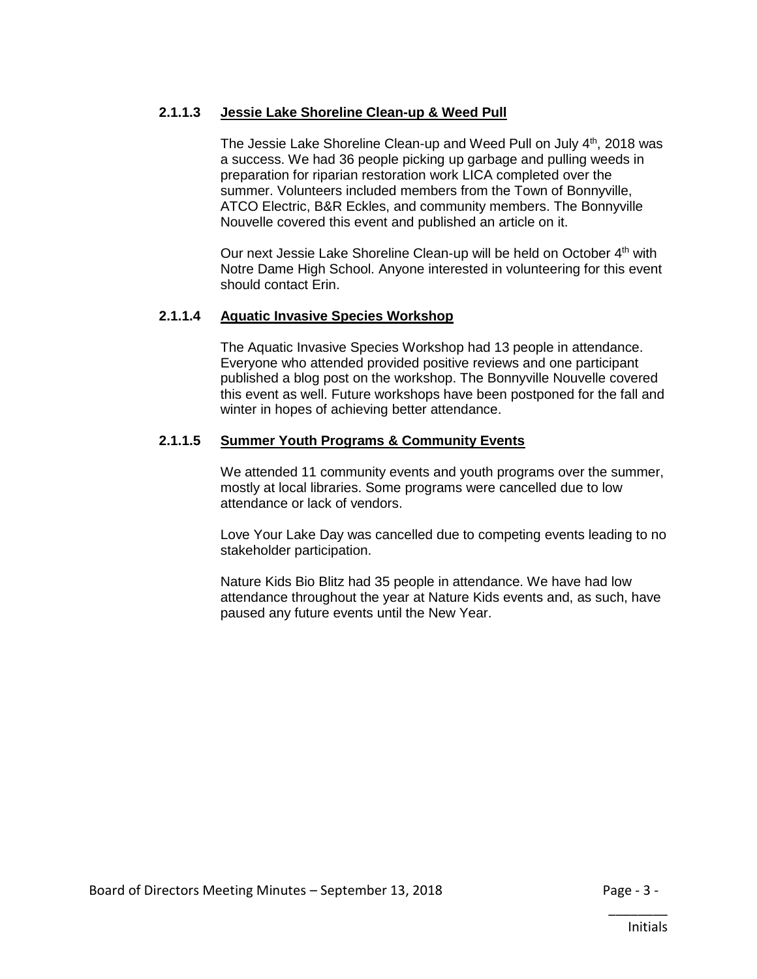# **2.1.1.3 Jessie Lake Shoreline Clean-up & Weed Pull**

The Jessie Lake Shoreline Clean-up and Weed Pull on July 4<sup>th</sup>, 2018 was a success. We had 36 people picking up garbage and pulling weeds in preparation for riparian restoration work LICA completed over the summer. Volunteers included members from the Town of Bonnyville, ATCO Electric, B&R Eckles, and community members. The Bonnyville Nouvelle covered this event and published an article on it.

Our next Jessie Lake Shoreline Clean-up will be held on October 4<sup>th</sup> with Notre Dame High School. Anyone interested in volunteering for this event should contact Erin.

## **2.1.1.4 Aquatic Invasive Species Workshop**

The Aquatic Invasive Species Workshop had 13 people in attendance. Everyone who attended provided positive reviews and one participant published a blog post on the workshop. The Bonnyville Nouvelle covered this event as well. Future workshops have been postponed for the fall and winter in hopes of achieving better attendance.

# **2.1.1.5 Summer Youth Programs & Community Events**

We attended 11 community events and youth programs over the summer, mostly at local libraries. Some programs were cancelled due to low attendance or lack of vendors.

Love Your Lake Day was cancelled due to competing events leading to no stakeholder participation.

Nature Kids Bio Blitz had 35 people in attendance. We have had low attendance throughout the year at Nature Kids events and, as such, have paused any future events until the New Year.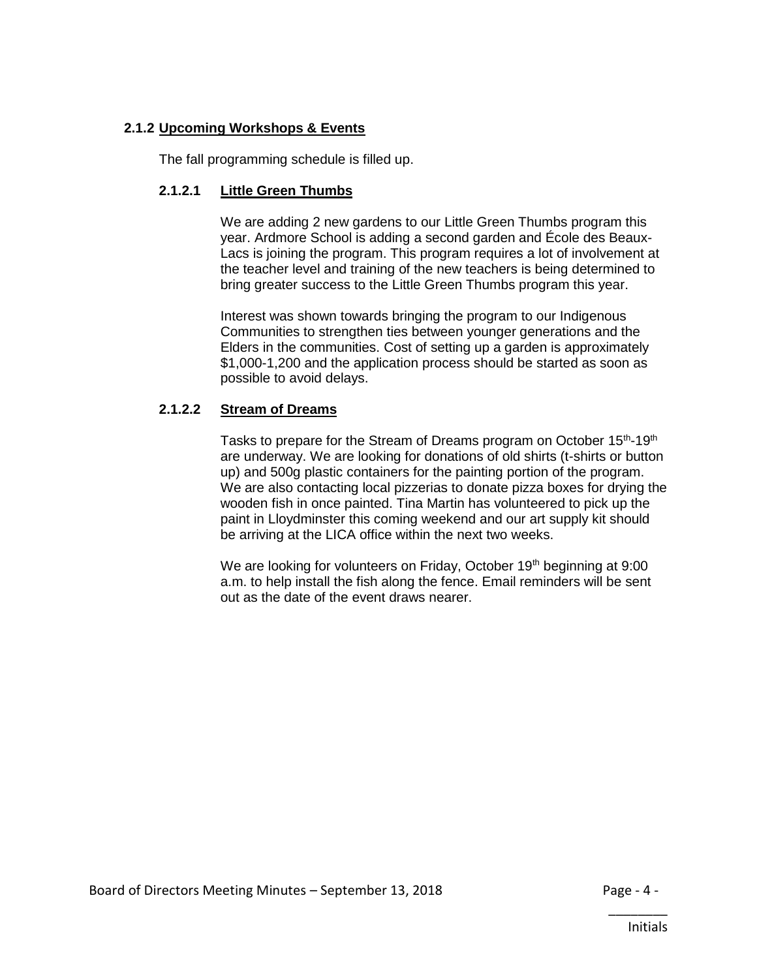# **2.1.2 Upcoming Workshops & Events**

The fall programming schedule is filled up.

# **2.1.2.1 Little Green Thumbs**

We are adding 2 new gardens to our Little Green Thumbs program this year. Ardmore School is adding a second garden and École des Beaux-Lacs is joining the program. This program requires a lot of involvement at the teacher level and training of the new teachers is being determined to bring greater success to the Little Green Thumbs program this year.

Interest was shown towards bringing the program to our Indigenous Communities to strengthen ties between younger generations and the Elders in the communities. Cost of setting up a garden is approximately \$1,000-1,200 and the application process should be started as soon as possible to avoid delays.

# **2.1.2.2 Stream of Dreams**

Tasks to prepare for the Stream of Dreams program on October 15<sup>th</sup>-19<sup>th</sup> are underway. We are looking for donations of old shirts (t-shirts or button up) and 500g plastic containers for the painting portion of the program. We are also contacting local pizzerias to donate pizza boxes for drying the wooden fish in once painted. Tina Martin has volunteered to pick up the paint in Lloydminster this coming weekend and our art supply kit should be arriving at the LICA office within the next two weeks.

We are looking for volunteers on Friday, October 19<sup>th</sup> beginning at 9:00 a.m. to help install the fish along the fence. Email reminders will be sent out as the date of the event draws nearer.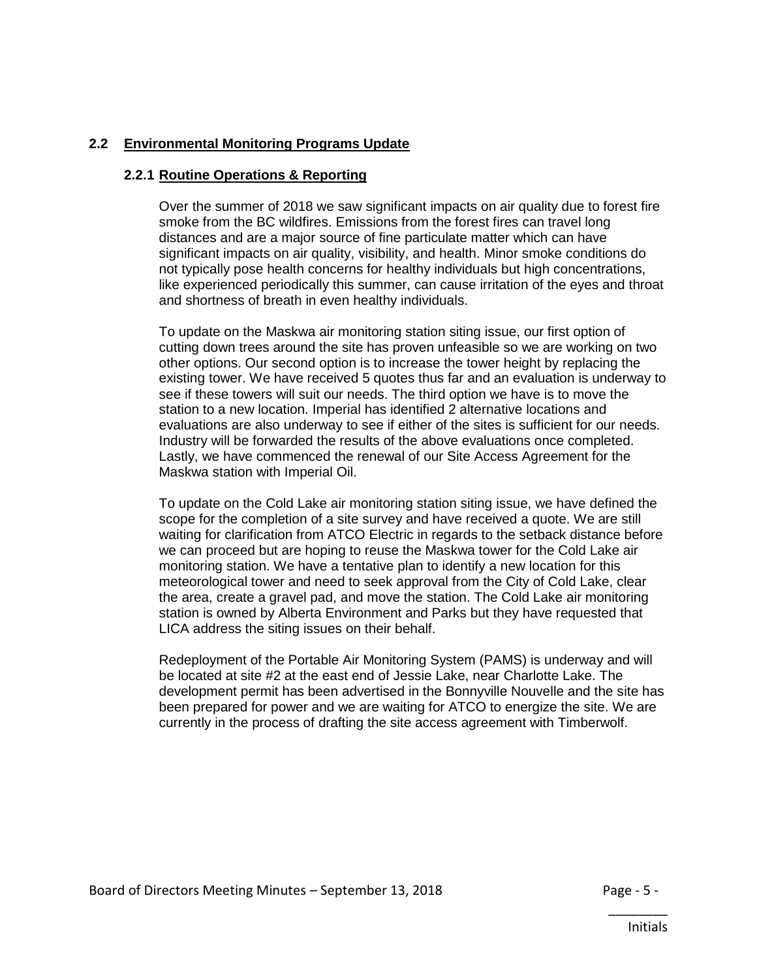# **2.2 Environmental Monitoring Programs Update**

#### **2.2.1 Routine Operations & Reporting**

Over the summer of 2018 we saw significant impacts on air quality due to forest fire smoke from the BC wildfires. Emissions from the forest fires can travel long distances and are a major source of fine particulate matter which can have significant impacts on air quality, visibility, and health. Minor smoke conditions do not typically pose health concerns for healthy individuals but high concentrations, like experienced periodically this summer, can cause irritation of the eyes and throat and shortness of breath in even healthy individuals.

To update on the Maskwa air monitoring station siting issue, our first option of cutting down trees around the site has proven unfeasible so we are working on two other options. Our second option is to increase the tower height by replacing the existing tower. We have received 5 quotes thus far and an evaluation is underway to see if these towers will suit our needs. The third option we have is to move the station to a new location. Imperial has identified 2 alternative locations and evaluations are also underway to see if either of the sites is sufficient for our needs. Industry will be forwarded the results of the above evaluations once completed. Lastly, we have commenced the renewal of our Site Access Agreement for the Maskwa station with Imperial Oil.

To update on the Cold Lake air monitoring station siting issue, we have defined the scope for the completion of a site survey and have received a quote. We are still waiting for clarification from ATCO Electric in regards to the setback distance before we can proceed but are hoping to reuse the Maskwa tower for the Cold Lake air monitoring station. We have a tentative plan to identify a new location for this meteorological tower and need to seek approval from the City of Cold Lake, clear the area, create a gravel pad, and move the station. The Cold Lake air monitoring station is owned by Alberta Environment and Parks but they have requested that LICA address the siting issues on their behalf.

Redeployment of the Portable Air Monitoring System (PAMS) is underway and will be located at site #2 at the east end of Jessie Lake, near Charlotte Lake. The development permit has been advertised in the Bonnyville Nouvelle and the site has been prepared for power and we are waiting for ATCO to energize the site. We are currently in the process of drafting the site access agreement with Timberwolf.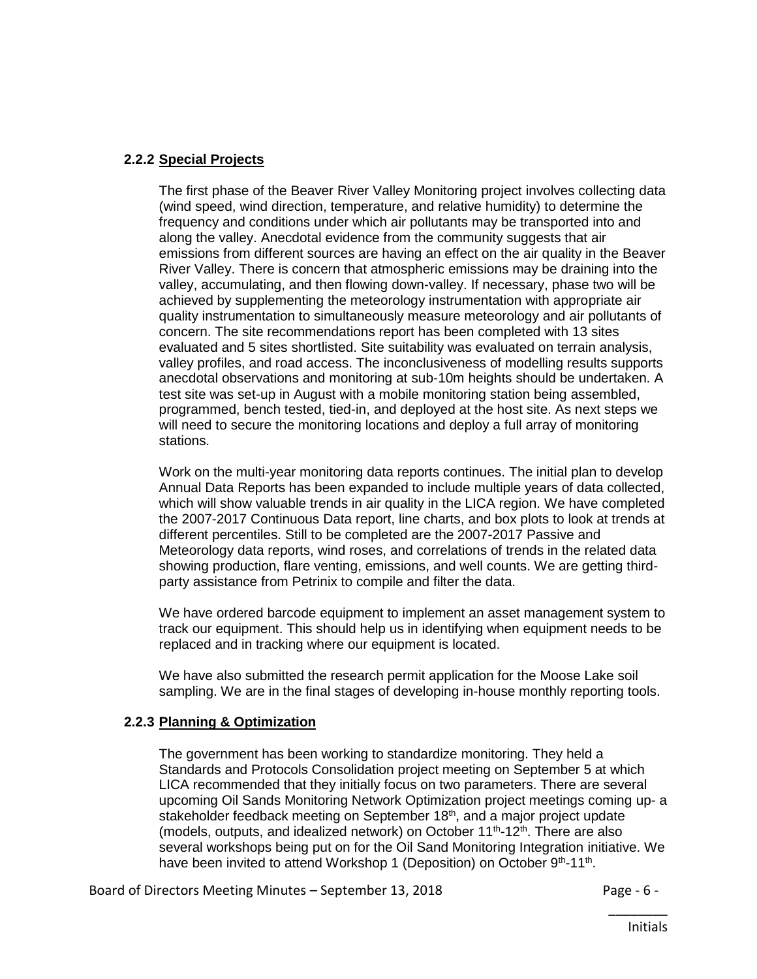# **2.2.2 Special Projects**

The first phase of the Beaver River Valley Monitoring project involves collecting data (wind speed, wind direction, temperature, and relative humidity) to determine the frequency and conditions under which air pollutants may be transported into and along the valley. Anecdotal evidence from the community suggests that air emissions from different sources are having an effect on the air quality in the Beaver River Valley. There is concern that atmospheric emissions may be draining into the valley, accumulating, and then flowing down-valley. If necessary, phase two will be achieved by supplementing the meteorology instrumentation with appropriate air quality instrumentation to simultaneously measure meteorology and air pollutants of concern. The site recommendations report has been completed with 13 sites evaluated and 5 sites shortlisted. Site suitability was evaluated on terrain analysis, valley profiles, and road access. The inconclusiveness of modelling results supports anecdotal observations and monitoring at sub-10m heights should be undertaken. A test site was set-up in August with a mobile monitoring station being assembled, programmed, bench tested, tied-in, and deployed at the host site. As next steps we will need to secure the monitoring locations and deploy a full array of monitoring stations.

Work on the multi-year monitoring data reports continues. The initial plan to develop Annual Data Reports has been expanded to include multiple years of data collected, which will show valuable trends in air quality in the LICA region. We have completed the 2007-2017 Continuous Data report, line charts, and box plots to look at trends at different percentiles. Still to be completed are the 2007-2017 Passive and Meteorology data reports, wind roses, and correlations of trends in the related data showing production, flare venting, emissions, and well counts. We are getting thirdparty assistance from Petrinix to compile and filter the data.

We have ordered barcode equipment to implement an asset management system to track our equipment. This should help us in identifying when equipment needs to be replaced and in tracking where our equipment is located.

We have also submitted the research permit application for the Moose Lake soil sampling. We are in the final stages of developing in-house monthly reporting tools.

# **2.2.3 Planning & Optimization**

The government has been working to standardize monitoring. They held a Standards and Protocols Consolidation project meeting on September 5 at which LICA recommended that they initially focus on two parameters. There are several upcoming Oil Sands Monitoring Network Optimization project meetings coming up- a stakeholder feedback meeting on September 18<sup>th</sup>, and a major project update (models, outputs, and idealized network) on October  $11^{th}$ - $12^{th}$ . There are also several workshops being put on for the Oil Sand Monitoring Integration initiative. We have been invited to attend Workshop 1 (Deposition) on October 9<sup>th</sup>-11<sup>th</sup>.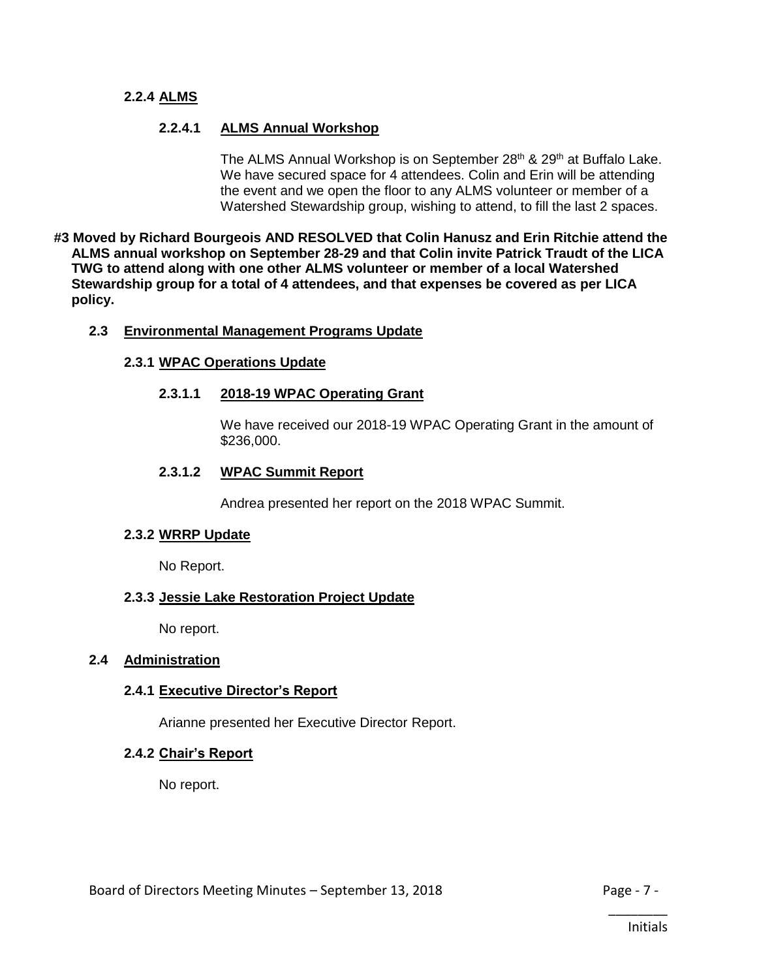#### **2.2.4 ALMS**

## **2.2.4.1 ALMS Annual Workshop**

The ALMS Annual Workshop is on September 28<sup>th</sup> & 29<sup>th</sup> at Buffalo Lake. We have secured space for 4 attendees. Colin and Erin will be attending the event and we open the floor to any ALMS volunteer or member of a Watershed Stewardship group, wishing to attend, to fill the last 2 spaces.

**#3 Moved by Richard Bourgeois AND RESOLVED that Colin Hanusz and Erin Ritchie attend the ALMS annual workshop on September 28-29 and that Colin invite Patrick Traudt of the LICA TWG to attend along with one other ALMS volunteer or member of a local Watershed Stewardship group for a total of 4 attendees, and that expenses be covered as per LICA policy.**

#### **2.3 Environmental Management Programs Update**

#### **2.3.1 WPAC Operations Update**

#### **2.3.1.1 2018-19 WPAC Operating Grant**

We have received our 2018-19 WPAC Operating Grant in the amount of \$236,000.

#### **2.3.1.2 WPAC Summit Report**

Andrea presented her report on the 2018 WPAC Summit.

#### **2.3.2 WRRP Update**

No Report.

## **2.3.3 Jessie Lake Restoration Project Update**

No report.

#### **2.4 Administration**

## **2.4.1 Executive Director's Report**

Arianne presented her Executive Director Report.

#### **2.4.2 Chair's Report**

No report.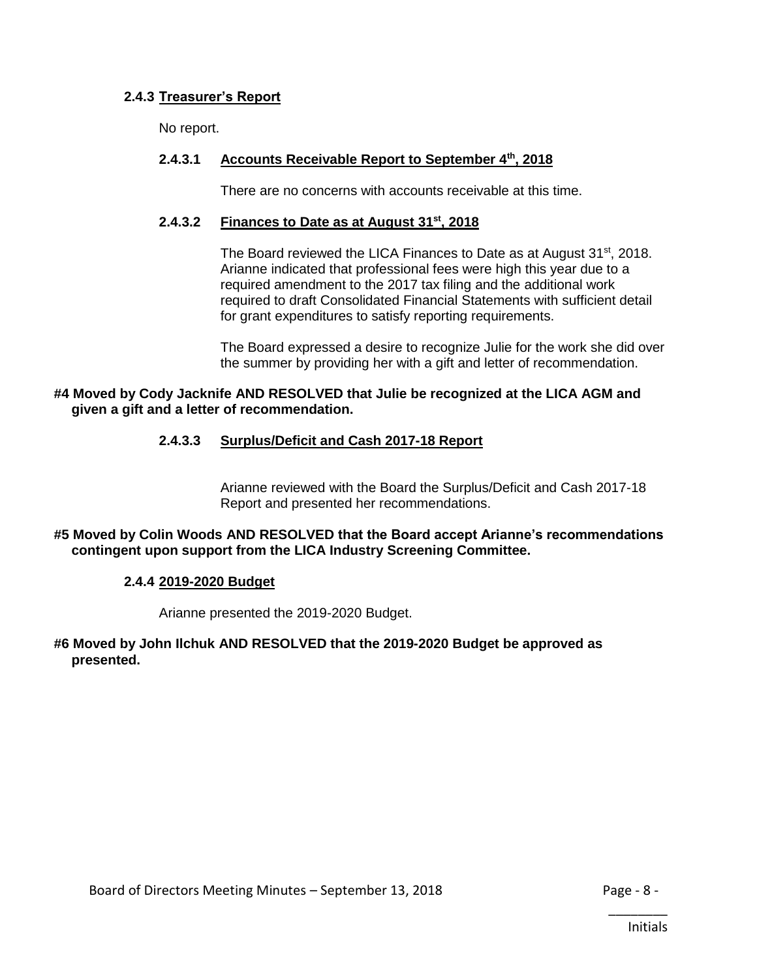# **2.4.3 Treasurer's Report**

No report.

# **2.4.3.1 Accounts Receivable Report to September 4th, 2018**

There are no concerns with accounts receivable at this time.

## **2.4.3.2 Finances to Date as at August 31st , 2018**

The Board reviewed the LICA Finances to Date as at August 31<sup>st</sup>, 2018. Arianne indicated that professional fees were high this year due to a required amendment to the 2017 tax filing and the additional work required to draft Consolidated Financial Statements with sufficient detail for grant expenditures to satisfy reporting requirements.

The Board expressed a desire to recognize Julie for the work she did over the summer by providing her with a gift and letter of recommendation.

#### **#4 Moved by Cody Jacknife AND RESOLVED that Julie be recognized at the LICA AGM and given a gift and a letter of recommendation.**

## **2.4.3.3 Surplus/Deficit and Cash 2017-18 Report**

Arianne reviewed with the Board the Surplus/Deficit and Cash 2017-18 Report and presented her recommendations.

## **#5 Moved by Colin Woods AND RESOLVED that the Board accept Arianne's recommendations contingent upon support from the LICA Industry Screening Committee.**

## **2.4.4 2019-2020 Budget**

Arianne presented the 2019-2020 Budget.

#### **#6 Moved by John Ilchuk AND RESOLVED that the 2019-2020 Budget be approved as presented.**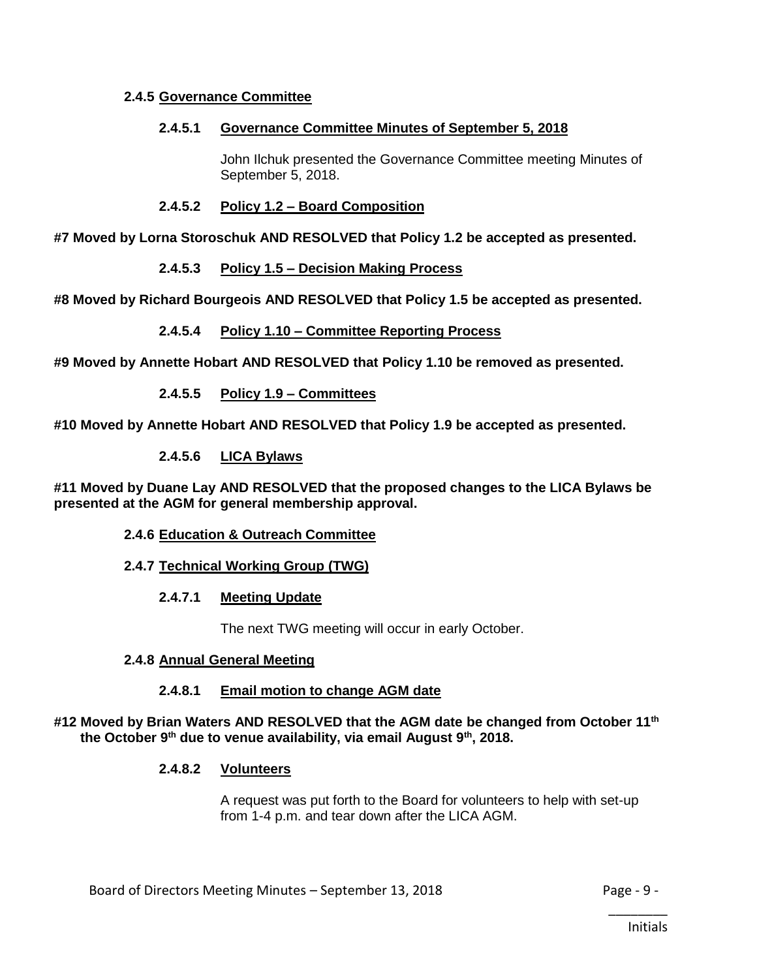# **2.4.5 Governance Committee**

## **2.4.5.1 Governance Committee Minutes of September 5, 2018**

John Ilchuk presented the Governance Committee meeting Minutes of September 5, 2018.

## **2.4.5.2 Policy 1.2 – Board Composition**

**#7 Moved by Lorna Storoschuk AND RESOLVED that Policy 1.2 be accepted as presented.**

# **2.4.5.3 Policy 1.5 – Decision Making Process**

**#8 Moved by Richard Bourgeois AND RESOLVED that Policy 1.5 be accepted as presented.**

## **2.4.5.4 Policy 1.10 – Committee Reporting Process**

**#9 Moved by Annette Hobart AND RESOLVED that Policy 1.10 be removed as presented.**

# **2.4.5.5 Policy 1.9 – Committees**

**#10 Moved by Annette Hobart AND RESOLVED that Policy 1.9 be accepted as presented.**

## **2.4.5.6 LICA Bylaws**

**#11 Moved by Duane Lay AND RESOLVED that the proposed changes to the LICA Bylaws be presented at the AGM for general membership approval.**

## **2.4.6 Education & Outreach Committee**

## **2.4.7 Technical Working Group (TWG)**

## **2.4.7.1 Meeting Update**

The next TWG meeting will occur in early October.

## **2.4.8 Annual General Meeting**

## **2.4.8.1 Email motion to change AGM date**

## **#12 Moved by Brian Waters AND RESOLVED that the AGM date be changed from October 11th the October 9th due to venue availability, via email August 9th, 2018.**

## **2.4.8.2 Volunteers**

A request was put forth to the Board for volunteers to help with set-up from 1-4 p.m. and tear down after the LICA AGM.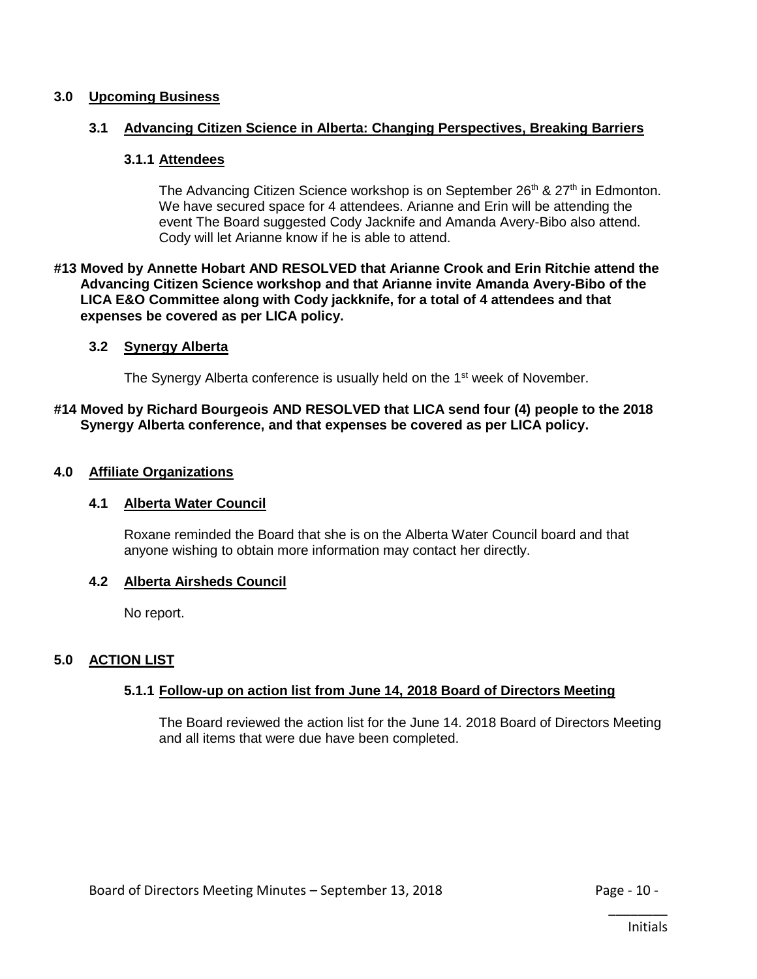#### **3.0 Upcoming Business**

#### **3.1 Advancing Citizen Science in Alberta: Changing Perspectives, Breaking Barriers**

#### **3.1.1 Attendees**

The Advancing Citizen Science workshop is on September 26<sup>th</sup> & 27<sup>th</sup> in Edmonton. We have secured space for 4 attendees. Arianne and Erin will be attending the event The Board suggested Cody Jacknife and Amanda Avery-Bibo also attend. Cody will let Arianne know if he is able to attend.

#### **#13 Moved by Annette Hobart AND RESOLVED that Arianne Crook and Erin Ritchie attend the Advancing Citizen Science workshop and that Arianne invite Amanda Avery-Bibo of the LICA E&O Committee along with Cody jackknife, for a total of 4 attendees and that expenses be covered as per LICA policy.**

#### **3.2 Synergy Alberta**

The Synergy Alberta conference is usually held on the 1<sup>st</sup> week of November.

#### **#14 Moved by Richard Bourgeois AND RESOLVED that LICA send four (4) people to the 2018 Synergy Alberta conference, and that expenses be covered as per LICA policy.**

#### **4.0 Affiliate Organizations**

## **4.1 Alberta Water Council**

Roxane reminded the Board that she is on the Alberta Water Council board and that anyone wishing to obtain more information may contact her directly.

## **4.2 Alberta Airsheds Council**

No report.

## **5.0 ACTION LIST**

## **5.1.1 Follow-up on action list from June 14, 2018 Board of Directors Meeting**

The Board reviewed the action list for the June 14. 2018 Board of Directors Meeting and all items that were due have been completed.

\_\_\_\_\_\_\_\_